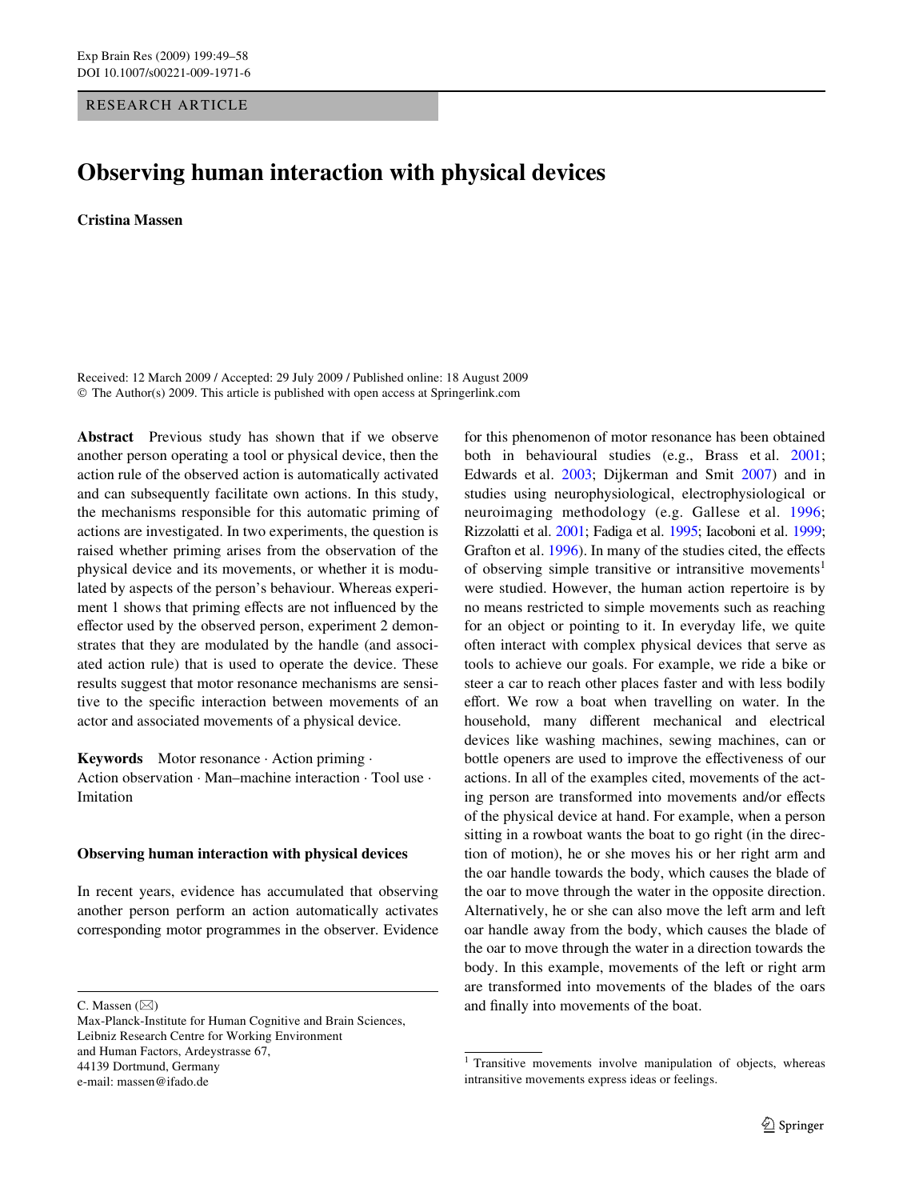# RESEARCH ARTICLE

# **Observing human interaction with physical devices**

**Cristina Massen** 

Received: 12 March 2009 / Accepted: 29 July 2009 / Published online: 18 August 2009 © The Author(s) 2009. This article is published with open access at Springerlink.com

**Abstract** Previous study has shown that if we observe another person operating a tool or physical device, then the action rule of the observed action is automatically activated and can subsequently facilitate own actions. In this study, the mechanisms responsible for this automatic priming of actions are investigated. In two experiments, the question is raised whether priming arises from the observation of the physical device and its movements, or whether it is modulated by aspects of the person's behaviour. Whereas experiment 1 shows that priming effects are not influenced by the effector used by the observed person, experiment 2 demonstrates that they are modulated by the handle (and associated action rule) that is used to operate the device. These results suggest that motor resonance mechanisms are sensitive to the specific interaction between movements of an actor and associated movements of a physical device.

**Keywords** Motor resonance · Action priming · Action observation · Man–machine interaction · Tool use · Imitation

## **Observing human interaction with physical devices**

In recent years, evidence has accumulated that observing another person perform an action automatically activates corresponding motor programmes in the observer. Evidence

for this phenomenon of motor resonance has been obtained both in behavioural studies (e.g., Brass et al. [2001;](#page-8-0) Edwards et al. [2003](#page-8-1); Dijkerman and Smit [2007\)](#page-8-2) and in studies using neurophysiological, electrophysiological or neuroimaging methodology (e.g. Gallese et al. [1996](#page-8-3); Rizzolatti et al. [2001;](#page-9-0) Fadiga et al. [1995](#page-8-4); Iacoboni et al. [1999;](#page-8-5) Grafton et al. [1996](#page-8-6)). In many of the studies cited, the effects of observing simple transitive or intransitive movements<sup>1</sup> were studied. However, the human action repertoire is by no means restricted to simple movements such as reaching for an object or pointing to it. In everyday life, we quite often interact with complex physical devices that serve as tools to achieve our goals. For example, we ride a bike or steer a car to reach other places faster and with less bodily effort. We row a boat when travelling on water. In the household, many different mechanical and electrical devices like washing machines, sewing machines, can or bottle openers are used to improve the effectiveness of our actions. In all of the examples cited, movements of the acting person are transformed into movements and/or effects of the physical device at hand. For example, when a person sitting in a rowboat wants the boat to go right (in the direction of motion), he or she moves his or her right arm and the oar handle towards the body, which causes the blade of the oar to move through the water in the opposite direction. Alternatively, he or she can also move the left arm and left oar handle away from the body, which causes the blade of the oar to move through the water in a direction towards the body. In this example, movements of the left or right arm are transformed into movements of the blades of the oars C. Massen  $(\boxtimes)$  and finally into movements of the boat.

Max-Planck-Institute for Human Cognitive and Brain Sciences, Leibniz Research Centre for Working Environment and Human Factors, Ardeystrasse 67, 44139 Dortmund, Germany e-mail: massen@ifado.de

<sup>&</sup>lt;sup>1</sup> Transitive movements involve manipulation of objects, whereas intransitive movements express ideas or feelings.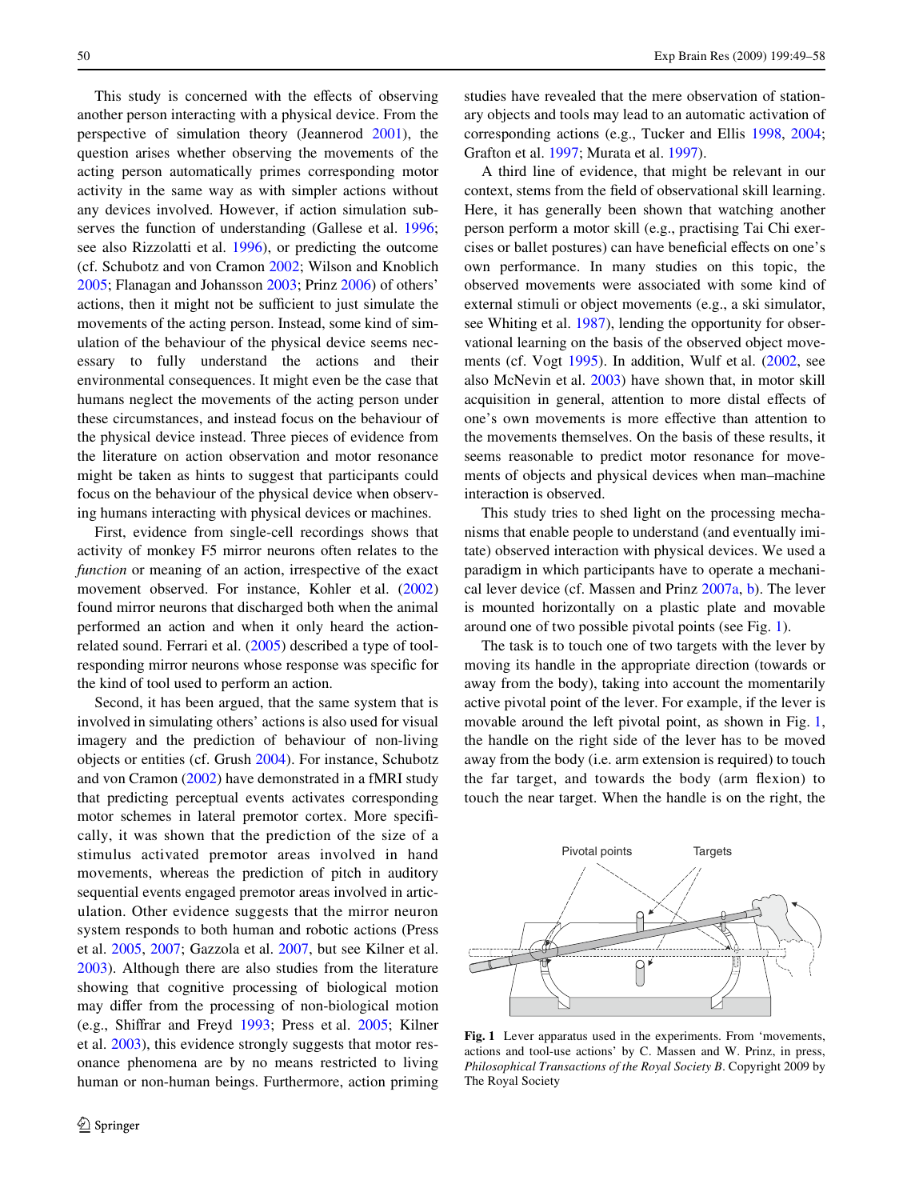This study is concerned with the effects of observing another person interacting with a physical device. From the perspective of simulation theory (Jeannerod [2001](#page-8-7)), the question arises whether observing the movements of the acting person automatically primes corresponding motor activity in the same way as with simpler actions without any devices involved. However, if action simulation subserves the function of understanding (Gallese et al. [1996](#page-8-3); see also Rizzolatti et al. [1996](#page-9-1)), or predicting the outcome (cf. Schubotz and von Cramon [2002;](#page-9-2) Wilson and Knoblich [2005](#page-9-3); Flanagan and Johansson [2003;](#page-8-8) Prinz [2006\)](#page-8-9) of others' actions, then it might not be sufficient to just simulate the movements of the acting person. Instead, some kind of simulation of the behaviour of the physical device seems necessary to fully understand the actions and their environmental consequences. It might even be the case that humans neglect the movements of the acting person under these circumstances, and instead focus on the behaviour of the physical device instead. Three pieces of evidence from the literature on action observation and motor resonance might be taken as hints to suggest that participants could focus on the behaviour of the physical device when observing humans interacting with physical devices or machines.

First, evidence from single-cell recordings shows that activity of monkey F5 mirror neurons often relates to the *function* or meaning of an action, irrespective of the exact movement observed. For instance, Kohler et al. ([2002\)](#page-8-10) found mirror neurons that discharged both when the animal performed an action and when it only heard the actionrelated sound. Ferrari et al. [\(2005](#page-8-11)) described a type of toolresponding mirror neurons whose response was specific for the kind of tool used to perform an action.

Second, it has been argued, that the same system that is involved in simulating others' actions is also used for visual imagery and the prediction of behaviour of non-living objects or entities (cf. Grush [2004\)](#page-8-12). For instance, Schubotz and von Cramon ([2002](#page-9-2)) have demonstrated in a fMRI study that predicting perceptual events activates corresponding motor schemes in lateral premotor cortex. More specifically, it was shown that the prediction of the size of a stimulus activated premotor areas involved in hand movements, whereas the prediction of pitch in auditory sequential events engaged premotor areas involved in articulation. Other evidence suggests that the mirror neuron system responds to both human and robotic actions (Press et al. [2005,](#page-8-13) [2007](#page-8-14); Gazzola et al. [2007,](#page-8-15) but see Kilner et al. [2003](#page-8-16)). Although there are also studies from the literature showing that cognitive processing of biological motion may differ from the processing of non-biological motion (e.g., Shiffrar and Freyd [1993](#page-9-4); Press et al. [2005;](#page-8-13) Kilner et al. [2003](#page-8-16)), this evidence strongly suggests that motor resonance phenomena are by no means restricted to living human or non-human beings. Furthermore, action priming studies have revealed that the mere observation of stationary objects and tools may lead to an automatic activation of corresponding actions (e.g., Tucker and Ellis [1998](#page-9-5), [2004;](#page-9-6) Grafton et al. [1997;](#page-8-17) Murata et al. [1997](#page-8-18)).

A third line of evidence, that might be relevant in our context, stems from the field of observational skill learning. Here, it has generally been shown that watching another person perform a motor skill (e.g., practising Tai Chi exercises or ballet postures) can have beneficial effects on one's own performance. In many studies on this topic, the observed movements were associated with some kind of external stimuli or object movements (e.g., a ski simulator, see Whiting et al. [1987](#page-9-7)), lending the opportunity for observational learning on the basis of the observed object movements (cf. Vogt [1995\)](#page-9-8). In addition, Wulf et al. [\(2002](#page-9-9), see also McNevin et al. [2003](#page-8-19)) have shown that, in motor skill acquisition in general, attention to more distal effects of one's own movements is more effective than attention to the movements themselves. On the basis of these results, it seems reasonable to predict motor resonance for movements of objects and physical devices when man–machine interaction is observed.

This study tries to shed light on the processing mechanisms that enable people to understand (and eventually imitate) observed interaction with physical devices. We used a paradigm in which participants have to operate a mechanical lever device (cf. Massen and Prinz [2007a](#page-8-20), [b](#page-8-21)). The lever is mounted horizontally on a plastic plate and movable around one of two possible pivotal points (see Fig. [1\)](#page-1-0).

The task is to touch one of two targets with the lever by moving its handle in the appropriate direction (towards or away from the body), taking into account the momentarily active pivotal point of the lever. For example, if the lever is movable around the left pivotal point, as shown in Fig. [1,](#page-1-0) the handle on the right side of the lever has to be moved away from the body (i.e. arm extension is required) to touch the far target, and towards the body (arm flexion) to touch the near target. When the handle is on the right, the



<span id="page-1-0"></span>**Fig. 1** Lever apparatus used in the experiments. From 'movements, actions and tool-use actions' by C. Massen and W. Prinz, in press, *Philosophical Transactions of the Royal Society B*. Copyright 2009 by The Royal Society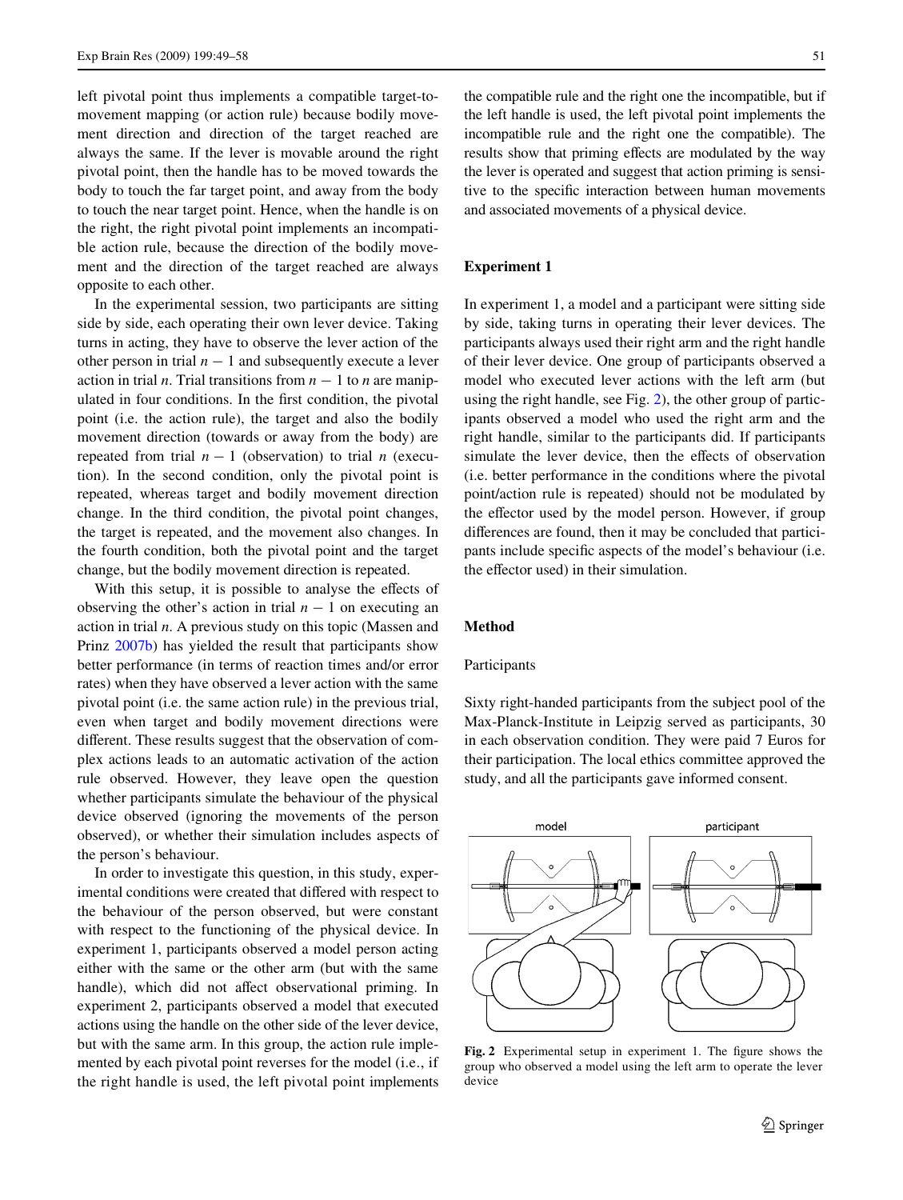left pivotal point thus implements a compatible target-tomovement mapping (or action rule) because bodily movement direction and direction of the target reached are always the same. If the lever is movable around the right pivotal point, then the handle has to be moved towards the body to touch the far target point, and away from the body to touch the near target point. Hence, when the handle is on the right, the right pivotal point implements an incompatible action rule, because the direction of the bodily movement and the direction of the target reached are always opposite to each other.

In the experimental session, two participants are sitting side by side, each operating their own lever device. Taking turns in acting, they have to observe the lever action of the other person in trial  $n - 1$  and subsequently execute a lever action in trial *n*. Trial transitions from  $n - 1$  to *n* are manipulated in four conditions. In the first condition, the pivotal point (i.e. the action rule), the target and also the bodily movement direction (towards or away from the body) are repeated from trial  $n - 1$  (observation) to trial *n* (execution). In the second condition, only the pivotal point is repeated, whereas target and bodily movement direction change. In the third condition, the pivotal point changes, the target is repeated, and the movement also changes. In the fourth condition, both the pivotal point and the target change, but the bodily movement direction is repeated.

With this setup, it is possible to analyse the effects of observing the other's action in trial  $n - 1$  on executing an action in trial *n*. A previous study on this topic (Massen and Prinz [2007b\)](#page-8-21) has yielded the result that participants show better performance (in terms of reaction times and/or error rates) when they have observed a lever action with the same pivotal point (i.e. the same action rule) in the previous trial, even when target and bodily movement directions were different. These results suggest that the observation of complex actions leads to an automatic activation of the action rule observed. However, they leave open the question whether participants simulate the behaviour of the physical device observed (ignoring the movements of the person observed), or whether their simulation includes aspects of the person's behaviour.

In order to investigate this question, in this study, experimental conditions were created that differed with respect to the behaviour of the person observed, but were constant with respect to the functioning of the physical device. In experiment 1, participants observed a model person acting either with the same or the other arm (but with the same handle), which did not affect observational priming. In experiment 2, participants observed a model that executed actions using the handle on the other side of the lever device, but with the same arm. In this group, the action rule implemented by each pivotal point reverses for the model (i.e., if the right handle is used, the left pivotal point implements

the compatible rule and the right one the incompatible, but if the left handle is used, the left pivotal point implements the incompatible rule and the right one the compatible). The results show that priming effects are modulated by the way the lever is operated and suggest that action priming is sensitive to the specific interaction between human movements and associated movements of a physical device.

## **Experiment 1**

In experiment 1, a model and a participant were sitting side by side, taking turns in operating their lever devices. The participants always used their right arm and the right handle of their lever device. One group of participants observed a model who executed lever actions with the left arm (but using the right handle, see Fig. [2](#page-2-0)), the other group of participants observed a model who used the right arm and the right handle, similar to the participants did. If participants simulate the lever device, then the effects of observation (i.e. better performance in the conditions where the pivotal point/action rule is repeated) should not be modulated by the effector used by the model person. However, if group differences are found, then it may be concluded that participants include specific aspects of the model's behaviour (i.e. the effector used) in their simulation.

## **Method**

#### Participants

Sixty right-handed participants from the subject pool of the Max-Planck-Institute in Leipzig served as participants, 30 in each observation condition. They were paid 7 Euros for their participation. The local ethics committee approved the study, and all the participants gave informed consent.



<span id="page-2-0"></span>Fig. 2 Experimental setup in experiment 1. The figure shows the group who observed a model using the left arm to operate the lever device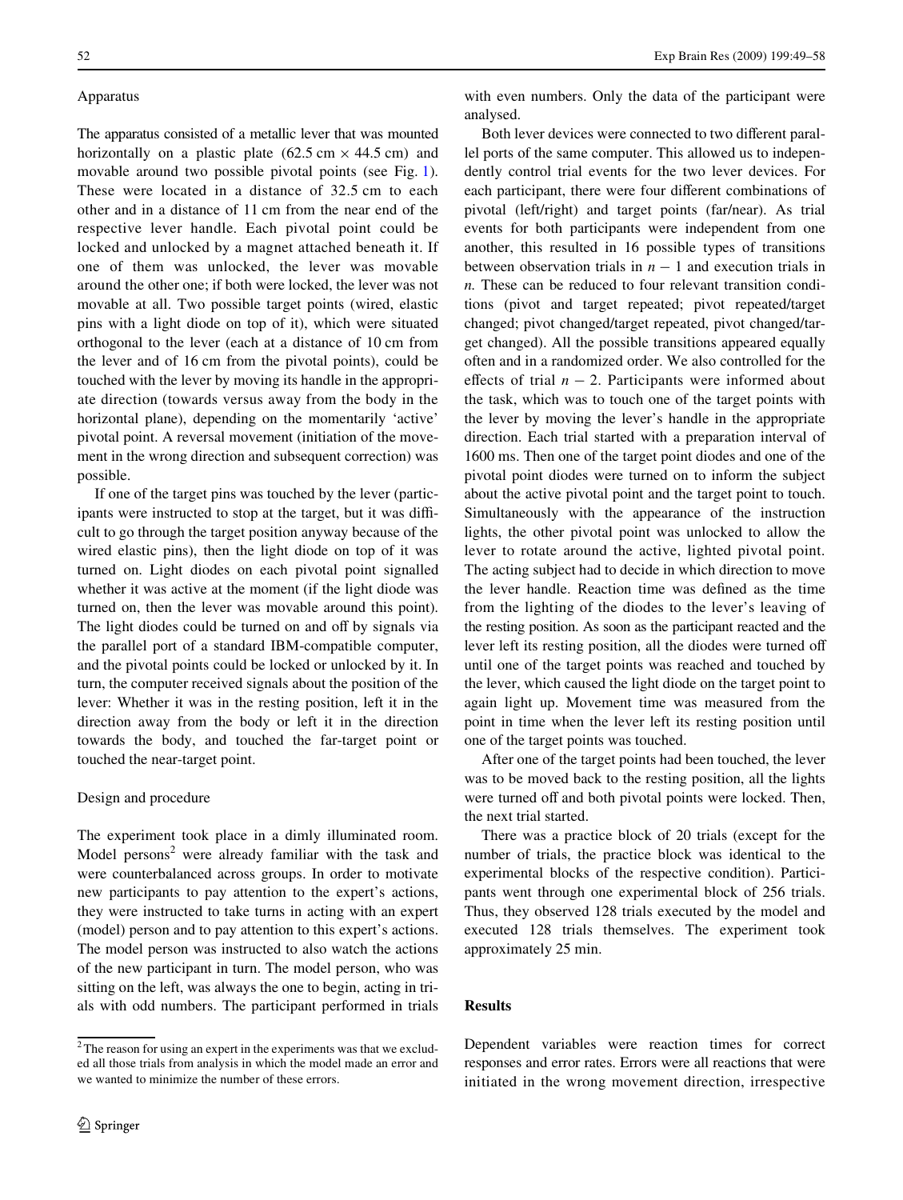# Apparatus

The apparatus consisted of a metallic lever that was mounted horizontally on a plastic plate (62.5 cm  $\times$  44.5 cm) and movable around two possible pivotal points (see Fig. [1](#page-1-0)). These were located in a distance of 32.5 cm to each other and in a distance of 11 cm from the near end of the respective lever handle. Each pivotal point could be locked and unlocked by a magnet attached beneath it. If one of them was unlocked, the lever was movable around the other one; if both were locked, the lever was not movable at all. Two possible target points (wired, elastic pins with a light diode on top of it), which were situated orthogonal to the lever (each at a distance of 10 cm from the lever and of 16 cm from the pivotal points), could be touched with the lever by moving its handle in the appropriate direction (towards versus away from the body in the horizontal plane), depending on the momentarily 'active' pivotal point. A reversal movement (initiation of the movement in the wrong direction and subsequent correction) was possible.

If one of the target pins was touched by the lever (participants were instructed to stop at the target, but it was difficult to go through the target position anyway because of the wired elastic pins), then the light diode on top of it was turned on. Light diodes on each pivotal point signalled whether it was active at the moment (if the light diode was turned on, then the lever was movable around this point). The light diodes could be turned on and off by signals via the parallel port of a standard IBM-compatible computer, and the pivotal points could be locked or unlocked by it. In turn, the computer received signals about the position of the lever: Whether it was in the resting position, left it in the direction away from the body or left it in the direction towards the body, and touched the far-target point or touched the near-target point.

#### Design and procedure

The experiment took place in a dimly illuminated room. Model persons<sup>2</sup> were already familiar with the task and were counterbalanced across groups. In order to motivate new participants to pay attention to the expert's actions, they were instructed to take turns in acting with an expert (model) person and to pay attention to this expert's actions. The model person was instructed to also watch the actions of the new participant in turn. The model person, who was sitting on the left, was always the one to begin, acting in trials with odd numbers. The participant performed in trials with even numbers. Only the data of the participant were analysed.

Both lever devices were connected to two different parallel ports of the same computer. This allowed us to independently control trial events for the two lever devices. For each participant, there were four different combinations of pivotal (left/right) and target points (far/near). As trial events for both participants were independent from one another, this resulted in 16 possible types of transitions between observation trials in  $n - 1$  and execution trials in *n.* These can be reduced to four relevant transition conditions (pivot and target repeated; pivot repeated/target changed; pivot changed/target repeated, pivot changed/target changed). All the possible transitions appeared equally often and in a randomized order. We also controlled for the effects of trial  $n - 2$ . Participants were informed about the task, which was to touch one of the target points with the lever by moving the lever's handle in the appropriate direction. Each trial started with a preparation interval of 1600 ms. Then one of the target point diodes and one of the pivotal point diodes were turned on to inform the subject about the active pivotal point and the target point to touch. Simultaneously with the appearance of the instruction lights, the other pivotal point was unlocked to allow the lever to rotate around the active, lighted pivotal point. The acting subject had to decide in which direction to move the lever handle. Reaction time was defined as the time from the lighting of the diodes to the lever's leaving of the resting position. As soon as the participant reacted and the lever left its resting position, all the diodes were turned off until one of the target points was reached and touched by the lever, which caused the light diode on the target point to again light up. Movement time was measured from the point in time when the lever left its resting position until one of the target points was touched.

After one of the target points had been touched, the lever was to be moved back to the resting position, all the lights were turned off and both pivotal points were locked. Then, the next trial started.

There was a practice block of 20 trials (except for the number of trials, the practice block was identical to the experimental blocks of the respective condition). Participants went through one experimental block of 256 trials. Thus, they observed 128 trials executed by the model and executed 128 trials themselves. The experiment took approximately 25 min.

## **Results**

Dependent variables were reaction times for correct responses and error rates. Errors were all reactions that were initiated in the wrong movement direction, irrespective

<sup>&</sup>lt;sup>2</sup> The reason for using an expert in the experiments was that we excluded all those trials from analysis in which the model made an error and we wanted to minimize the number of these errors.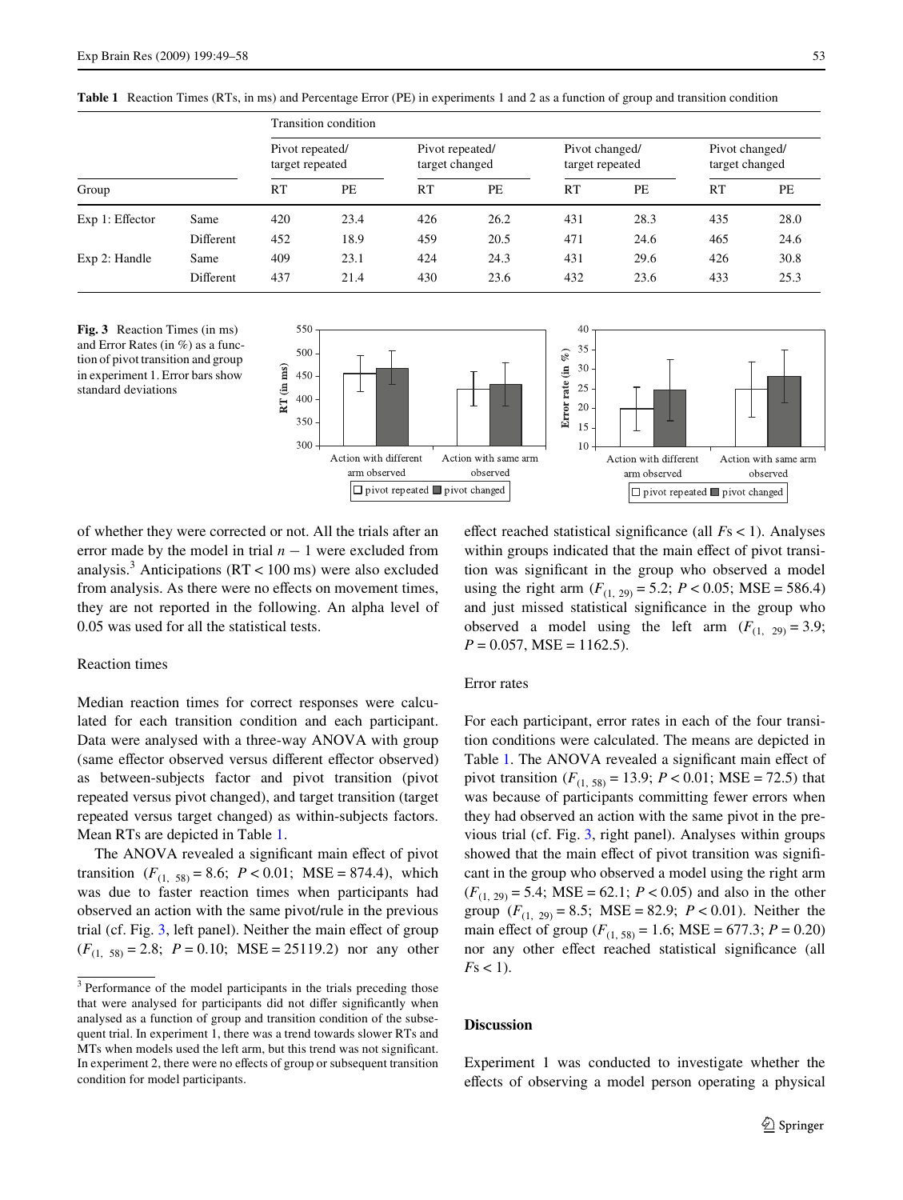<span id="page-4-0"></span>

|  |  |  |  |  |  |  |  | Table 1 Reaction Times (RTs, in ms) and Percentage Error (PE) in experiments 1 and 2 as a function of group and transition condition |  |  |  |  |  |  |
|--|--|--|--|--|--|--|--|--------------------------------------------------------------------------------------------------------------------------------------|--|--|--|--|--|--|
|--|--|--|--|--|--|--|--|--------------------------------------------------------------------------------------------------------------------------------------|--|--|--|--|--|--|

|                 |                   |                                    | Transition condition |                                   |              |                                   |              |                                  |              |
|-----------------|-------------------|------------------------------------|----------------------|-----------------------------------|--------------|-----------------------------------|--------------|----------------------------------|--------------|
|                 |                   | Pivot repeated/<br>target repeated |                      | Pivot repeated/<br>target changed |              | Pivot changed/<br>target repeated |              | Pivot changed/<br>target changed |              |
| Group           |                   | <b>RT</b>                          | PE.                  | RT                                | PE           | RT                                | <b>PE</b>    | RT                               | PE           |
| Exp 1: Effector | Same              | 420                                | 23.4                 | 426                               | 26.2         | 431                               | 28.3         | 435                              | 28.0         |
|                 | Different         | 452                                | 18.9                 | 459                               | 20.5         | 471                               | 24.6         | 465                              | 24.6         |
| Exp 2: Handle   | Same<br>Different | 409<br>437                         | 23.1<br>21.4         | 424<br>430                        | 24.3<br>23.6 | 431<br>432                        | 29.6<br>23.6 | 426<br>433                       | 30.8<br>25.3 |

<span id="page-4-1"></span>**Fig. 3** Reaction Times (in ms) and Error Rates (in %) as a function of pivot transition and group in experiment 1. Error bars show standard deviations



of whether they were corrected or not. All the trials after an error made by the model in trial  $n - 1$  were excluded from analysis.<sup>3</sup> Anticipations ( $RT < 100$  ms) were also excluded from analysis. As there were no effects on movement times, they are not reported in the following. An alpha level of 0.05 was used for all the statistical tests.

# Reaction times

Median reaction times for correct responses were calculated for each transition condition and each participant. Data were analysed with a three-way ANOVA with group (same effector observed versus different effector observed) as between-subjects factor and pivot transition (pivot repeated versus pivot changed), and target transition (target repeated versus target changed) as within-subjects factors. Mean RTs are depicted in Table [1](#page-4-0).

The ANOVA revealed a significant main effect of pivot transition  $(F_{(1, 58)} = 8.6; P < 0.01; MSE = 874.4)$ , which was due to faster reaction times when participants had observed an action with the same pivot/rule in the previous trial (cf. Fig.  $3$ , left panel). Neither the main effect of group  $(F_{(1, 58)} = 2.8; P = 0.10; MSE = 25119.2)$  nor any other effect reached statistical significance (all  $Fs < 1$ ). Analyses within groups indicated that the main effect of pivot transition was significant in the group who observed a model using the right arm  $(F_{(1, 29)} = 5.2; P < 0.05; MSE = 586.4)$ and just missed statistical significance in the group who observed a model using the left arm  $(F_{(1, 29)} = 3.9)$ ;  $P = 0.057$ , MSE = 1162.5).

## Error rates

For each participant, error rates in each of the four transition conditions were calculated. The means are depicted in Table [1](#page-4-0). The ANOVA revealed a significant main effect of pivot transition  $(F_{(1, 58)} = 13.9; P < 0.01; \text{MSE} = 72.5)$  that was because of participants committing fewer errors when they had observed an action with the same pivot in the previous trial (cf. Fig. [3](#page-4-1), right panel). Analyses within groups showed that the main effect of pivot transition was significant in the group who observed a model using the right arm  $(F_{(1, 29)} = 5.4; \text{MSE} = 62.1; P < 0.05)$  and also in the other group  $(F_{(1, 29)} = 8.5; \text{MSE} = 82.9; P < 0.01)$ . Neither the main effect of group ( $F_{(1, 58)} = 1.6$ ; MSE = 677.3;  $P = 0.20$ ) nor any other effect reached statistical significance (all  $Fs < 1$ ).

# **Discussion**

Experiment 1 was conducted to investigate whether the effects of observing a model person operating a physical

<sup>&</sup>lt;sup>3</sup> Performance of the model participants in the trials preceding those that were analysed for participants did not differ significantly when analysed as a function of group and transition condition of the subsequent trial. In experiment 1, there was a trend towards slower RTs and MTs when models used the left arm, but this trend was not significant. In experiment 2, there were no effects of group or subsequent transition condition for model participants.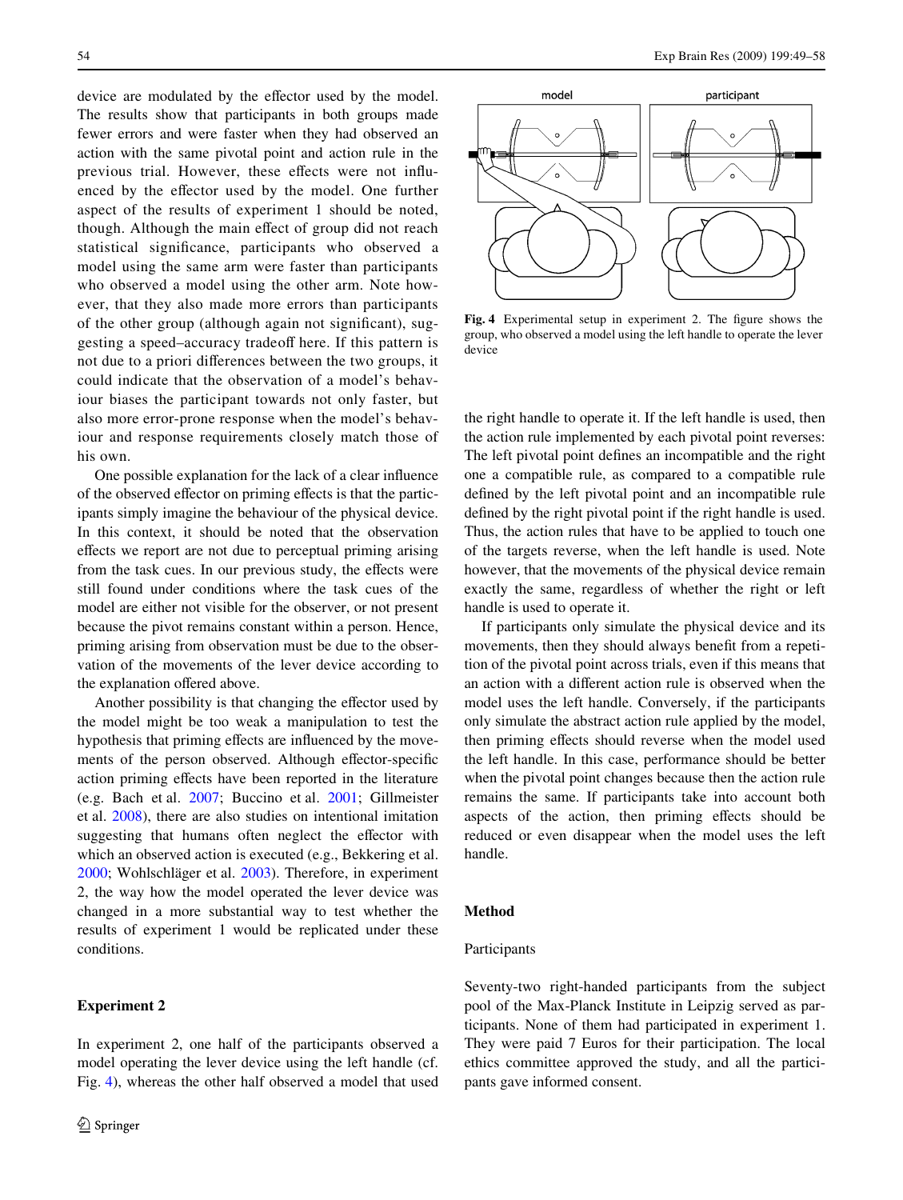device are modulated by the effector used by the model. The results show that participants in both groups made fewer errors and were faster when they had observed an action with the same pivotal point and action rule in the previous trial. However, these effects were not influenced by the effector used by the model. One further aspect of the results of experiment 1 should be noted, though. Although the main effect of group did not reach statistical significance, participants who observed a model using the same arm were faster than participants who observed a model using the other arm. Note however, that they also made more errors than participants of the other group (although again not significant), suggesting a speed–accuracy tradeoff here. If this pattern is not due to a priori differences between the two groups, it could indicate that the observation of a model's behaviour biases the participant towards not only faster, but also more error-prone response when the model's behaviour and response requirements closely match those of his own.

One possible explanation for the lack of a clear influence of the observed effector on priming effects is that the participants simply imagine the behaviour of the physical device. In this context, it should be noted that the observation effects we report are not due to perceptual priming arising from the task cues. In our previous study, the effects were still found under conditions where the task cues of the model are either not visible for the observer, or not present because the pivot remains constant within a person. Hence, priming arising from observation must be due to the observation of the movements of the lever device according to the explanation offered above.

Another possibility is that changing the effector used by the model might be too weak a manipulation to test the hypothesis that priming effects are influenced by the movements of the person observed. Although effector-specific action priming effects have been reported in the literature (e.g. Bach et al. [2007;](#page-8-22) Buccino et al. [2001](#page-8-23); Gillmeister et al. [2008\)](#page-8-24), there are also studies on intentional imitation suggesting that humans often neglect the effector with which an observed action is executed (e.g., Bekkering et al. [2000](#page-8-25); Wohlschläger et al. [2003\)](#page-9-10). Therefore, in experiment 2, the way how the model operated the lever device was changed in a more substantial way to test whether the results of experiment 1 would be replicated under these conditions.

#### **Experiment 2**

In experiment 2, one half of the participants observed a model operating the lever device using the left handle (cf. Fig. [4](#page-5-0)), whereas the other half observed a model that used



<span id="page-5-0"></span>Fig. 4 Experimental setup in experiment 2. The figure shows the group, who observed a model using the left handle to operate the lever device

the right handle to operate it. If the left handle is used, then the action rule implemented by each pivotal point reverses: The left pivotal point defines an incompatible and the right one a compatible rule, as compared to a compatible rule defined by the left pivotal point and an incompatible rule defined by the right pivotal point if the right handle is used. Thus, the action rules that have to be applied to touch one of the targets reverse, when the left handle is used. Note however, that the movements of the physical device remain exactly the same, regardless of whether the right or left handle is used to operate it.

If participants only simulate the physical device and its movements, then they should always benefit from a repetition of the pivotal point across trials, even if this means that an action with a different action rule is observed when the model uses the left handle. Conversely, if the participants only simulate the abstract action rule applied by the model, then priming effects should reverse when the model used the left handle. In this case, performance should be better when the pivotal point changes because then the action rule remains the same. If participants take into account both aspects of the action, then priming effects should be reduced or even disappear when the model uses the left handle.

#### **Method**

#### Participants

Seventy-two right-handed participants from the subject pool of the Max-Planck Institute in Leipzig served as participants. None of them had participated in experiment 1. They were paid 7 Euros for their participation. The local ethics committee approved the study, and all the participants gave informed consent.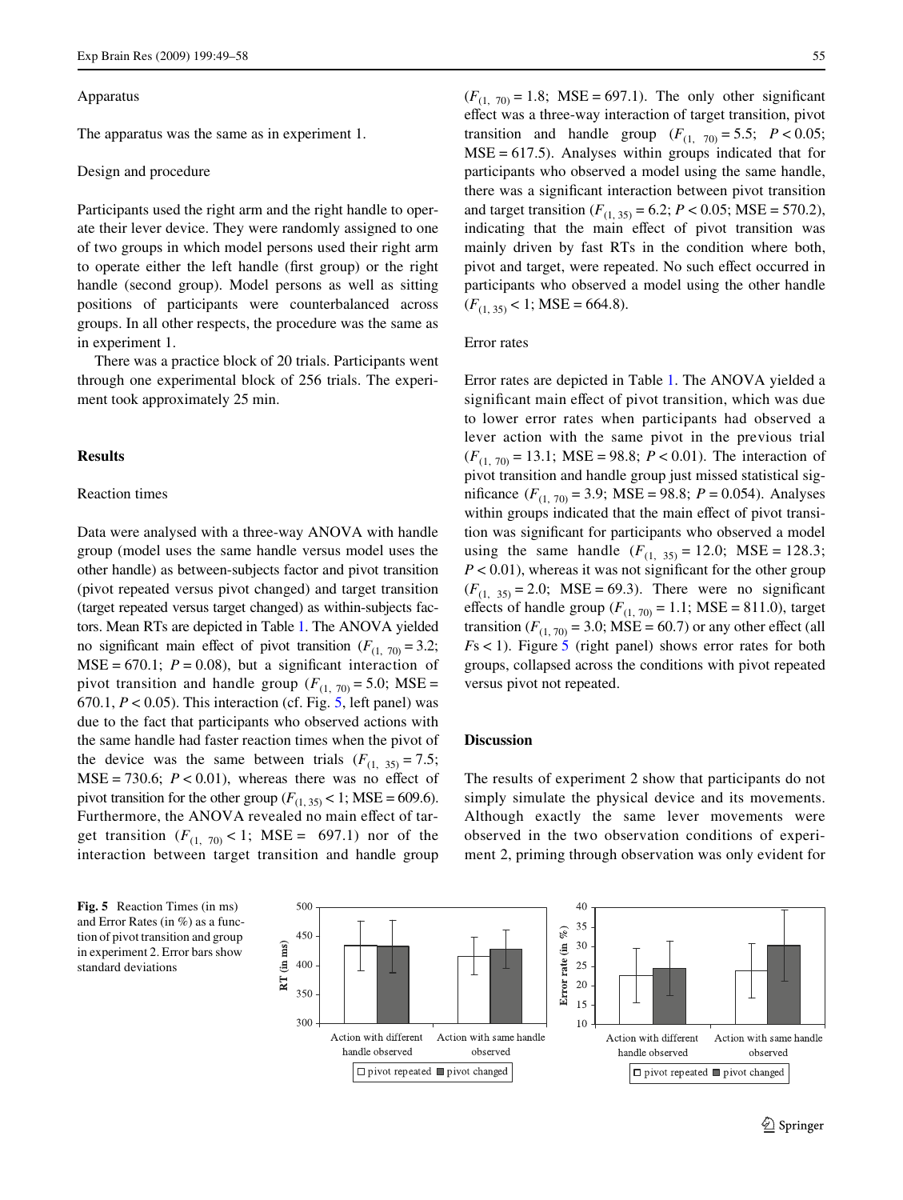## Apparatus

The apparatus was the same as in experiment 1.

# Design and procedure

Participants used the right arm and the right handle to operate their lever device. They were randomly assigned to one of two groups in which model persons used their right arm to operate either the left handle (first group) or the right handle (second group). Model persons as well as sitting positions of participants were counterbalanced across groups. In all other respects, the procedure was the same as in experiment 1.

There was a practice block of 20 trials. Participants went through one experimental block of 256 trials. The experiment took approximately 25 min.

# **Results**

#### Reaction times

Data were analysed with a three-way ANOVA with handle group (model uses the same handle versus model uses the other handle) as between-subjects factor and pivot transition (pivot repeated versus pivot changed) and target transition (target repeated versus target changed) as within-subjects factors. Mean RTs are depicted in Table [1.](#page-4-0) The ANOVA yielded no significant main effect of pivot transition  $(F_{(1, 70)} = 3.2;$  $MSE = 670.1$ ;  $P = 0.08$ ), but a significant interaction of pivot transition and handle group  $(F_{(1, 70)} = 5.0; \text{MSE} =$ 670.1,  $P < 0.05$ ). This interaction (cf. Fig. [5,](#page-6-0) left panel) was due to the fact that participants who observed actions with the same handle had faster reaction times when the pivot of the device was the same between trials  $(F_{(1, 35)} = 7.5;$  $MSE = 730.6$ ;  $P < 0.01$ ), whereas there was no effect of pivot transition for the other group  $(F_{(1, 35)} < 1; \text{MSE} = 609.6)$ . Furthermore, the ANOVA revealed no main effect of target transition  $(F_{(1, 70)} < 1; \text{ MSE} = 697.1)$  nor of the interaction between target transition and handle group

 $(F_{(1, 70)} = 1.8; \text{ MSE} = 697.1).$  The only other significant effect was a three-way interaction of target transition, pivot transition and handle group  $(F_{(1, 70)} = 5.5; P < 0.05;$  $MSE = 617.5$ . Analyses within groups indicated that for participants who observed a model using the same handle, there was a significant interaction between pivot transition and target transition  $(F_{(1,35)} = 6.2; P < 0.05; \text{MSE} = 570.2),$ indicating that the main effect of pivot transition was mainly driven by fast RTs in the condition where both, pivot and target, were repeated. No such effect occurred in participants who observed a model using the other handle  $(F_{(1, 35)} < 1; \text{MSE} = 664.8).$ 

# Error rates

Error rates are depicted in Table [1.](#page-4-0) The ANOVA yielded a significant main effect of pivot transition, which was due to lower error rates when participants had observed a lever action with the same pivot in the previous trial  $(F_{(1, 70)} = 13.1; \text{ MSE} = 98.8; P < 0.01)$ . The interaction of pivot transition and handle group just missed statistical significance  $(F_{(1, 70)} = 3.9; \text{MSE} = 98.8; P = 0.054)$ . Analyses within groups indicated that the main effect of pivot transition was significant for participants who observed a model using the same handle  $(F_{(1, 35)} = 12.0; \text{MSE} = 128.3;$  $P < 0.01$ ), whereas it was not significant for the other group  $(F_{(1, 35)} = 2.0; \text{ MSE} = 69.3)$ . There were no significant effects of handle group ( $F_{(1, 70)} = 1.1$ ; MSE = 811.0), target transition ( $F_{(1, 70)} = 3.0$ ; MSE = 60.7) or any other effect (all  $Fs < 1$ ). Figure [5](#page-6-0) (right panel) shows error rates for both groups, collapsed across the conditions with pivot repeated versus pivot not repeated.

## **Discussion**

The results of experiment 2 show that participants do not simply simulate the physical device and its movements. Although exactly the same lever movements were observed in the two observation conditions of experiment 2, priming through observation was only evident for

<span id="page-6-0"></span>**Fig. 5** Reaction Times (in ms) and Error Rates (in %) as a function of pivot transition and group in experiment 2. Error bars show standard deviations

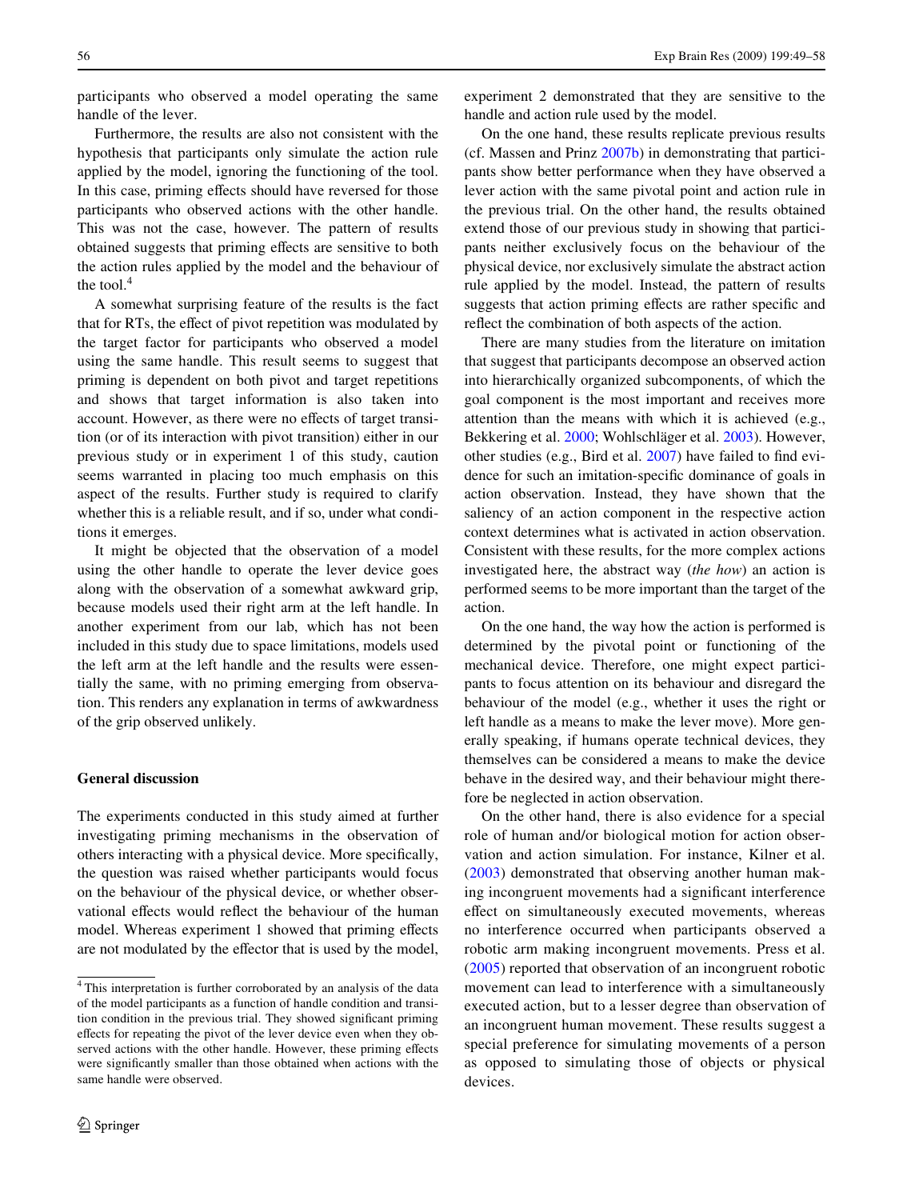participants who observed a model operating the same handle of the lever.

Furthermore, the results are also not consistent with the hypothesis that participants only simulate the action rule applied by the model, ignoring the functioning of the tool. In this case, priming effects should have reversed for those participants who observed actions with the other handle. This was not the case, however. The pattern of results obtained suggests that priming effects are sensitive to both the action rules applied by the model and the behaviour of the tool  $<sup>4</sup>$ </sup>

A somewhat surprising feature of the results is the fact that for RTs, the effect of pivot repetition was modulated by the target factor for participants who observed a model using the same handle. This result seems to suggest that priming is dependent on both pivot and target repetitions and shows that target information is also taken into account. However, as there were no effects of target transition (or of its interaction with pivot transition) either in our previous study or in experiment 1 of this study, caution seems warranted in placing too much emphasis on this aspect of the results. Further study is required to clarify whether this is a reliable result, and if so, under what conditions it emerges.

It might be objected that the observation of a model using the other handle to operate the lever device goes along with the observation of a somewhat awkward grip, because models used their right arm at the left handle. In another experiment from our lab, which has not been included in this study due to space limitations, models used the left arm at the left handle and the results were essentially the same, with no priming emerging from observation. This renders any explanation in terms of awkwardness of the grip observed unlikely.

# **General discussion**

The experiments conducted in this study aimed at further investigating priming mechanisms in the observation of others interacting with a physical device. More specifically, the question was raised whether participants would focus on the behaviour of the physical device, or whether observational effects would reflect the behaviour of the human model. Whereas experiment 1 showed that priming effects are not modulated by the effector that is used by the model, experiment 2 demonstrated that they are sensitive to the handle and action rule used by the model.

On the one hand, these results replicate previous results (cf. Massen and Prinz [2007b](#page-8-21)) in demonstrating that participants show better performance when they have observed a lever action with the same pivotal point and action rule in the previous trial. On the other hand, the results obtained extend those of our previous study in showing that participants neither exclusively focus on the behaviour of the physical device, nor exclusively simulate the abstract action rule applied by the model. Instead, the pattern of results suggests that action priming effects are rather specific and reflect the combination of both aspects of the action.

There are many studies from the literature on imitation that suggest that participants decompose an observed action into hierarchically organized subcomponents, of which the goal component is the most important and receives more attention than the means with which it is achieved (e.g., Bekkering et al. [2000](#page-8-25); Wohlschläger et al. [2003\)](#page-9-10). However, other studies (e.g., Bird et al.  $2007$ ) have failed to find evidence for such an imitation-specific dominance of goals in action observation. Instead, they have shown that the saliency of an action component in the respective action context determines what is activated in action observation. Consistent with these results, for the more complex actions investigated here, the abstract way (*the how*) an action is performed seems to be more important than the target of the action.

On the one hand, the way how the action is performed is determined by the pivotal point or functioning of the mechanical device. Therefore, one might expect participants to focus attention on its behaviour and disregard the behaviour of the model (e.g., whether it uses the right or left handle as a means to make the lever move). More generally speaking, if humans operate technical devices, they themselves can be considered a means to make the device behave in the desired way, and their behaviour might therefore be neglected in action observation.

On the other hand, there is also evidence for a special role of human and/or biological motion for action observation and action simulation. For instance, Kilner et al. ([2003\)](#page-8-16) demonstrated that observing another human making incongruent movements had a significant interference effect on simultaneously executed movements, whereas no interference occurred when participants observed a robotic arm making incongruent movements. Press et al. ([2005\)](#page-8-13) reported that observation of an incongruent robotic movement can lead to interference with a simultaneously executed action, but to a lesser degree than observation of an incongruent human movement. These results suggest a special preference for simulating movements of a person as opposed to simulating those of objects or physical devices.

<sup>&</sup>lt;sup>4</sup> This interpretation is further corroborated by an analysis of the data of the model participants as a function of handle condition and transition condition in the previous trial. They showed significant priming effects for repeating the pivot of the lever device even when they observed actions with the other handle. However, these priming effects were significantly smaller than those obtained when actions with the same handle were observed.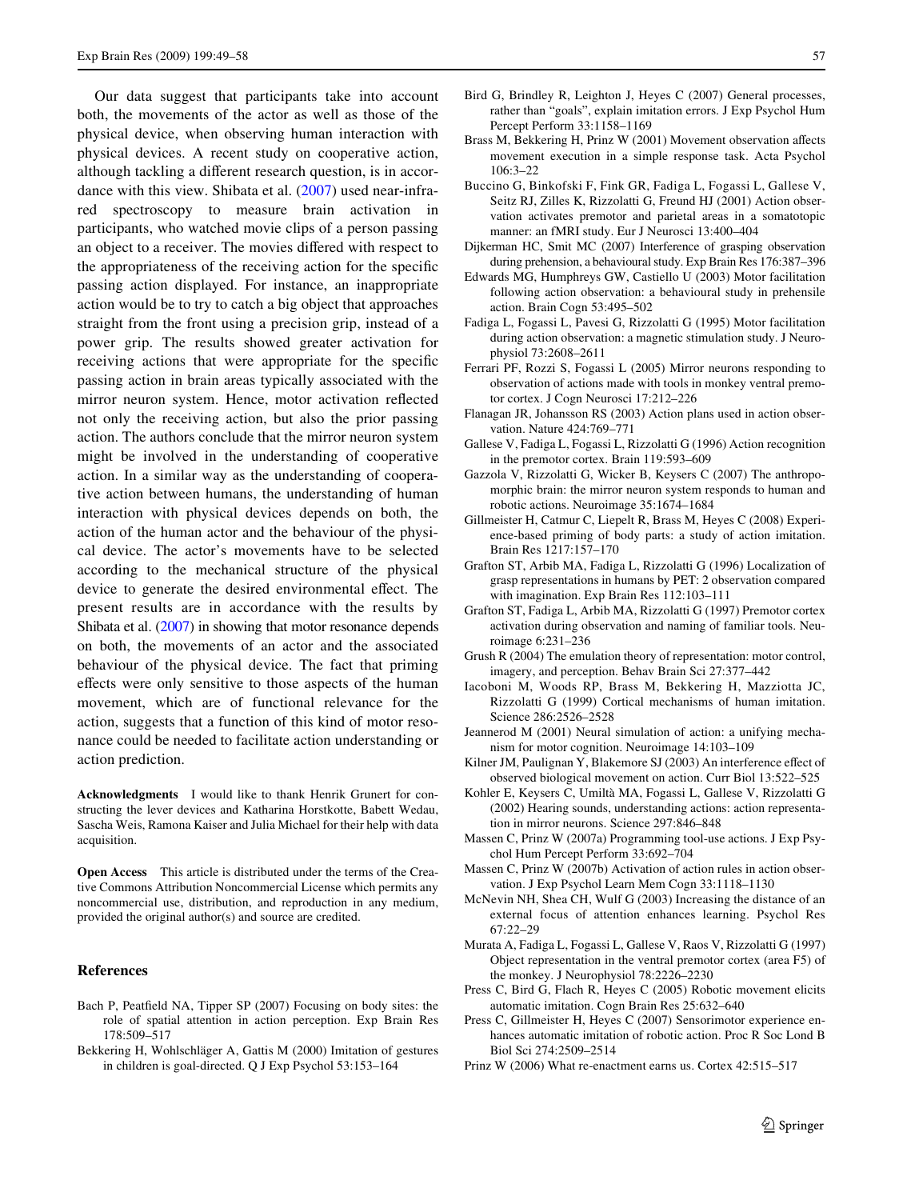Our data suggest that participants take into account both, the movements of the actor as well as those of the physical device, when observing human interaction with physical devices. A recent study on cooperative action, although tackling a different research question, is in accordance with this view. Shibata et al. ([2007\)](#page-9-11) used near-infrared spectroscopy to measure brain activation in participants, who watched movie clips of a person passing an object to a receiver. The movies differed with respect to the appropriateness of the receiving action for the specific passing action displayed. For instance, an inappropriate action would be to try to catch a big object that approaches straight from the front using a precision grip, instead of a power grip. The results showed greater activation for receiving actions that were appropriate for the specific passing action in brain areas typically associated with the mirror neuron system. Hence, motor activation reflected not only the receiving action, but also the prior passing action. The authors conclude that the mirror neuron system might be involved in the understanding of cooperative action. In a similar way as the understanding of cooperative action between humans, the understanding of human interaction with physical devices depends on both, the action of the human actor and the behaviour of the physical device. The actor's movements have to be selected according to the mechanical structure of the physical device to generate the desired environmental effect. The present results are in accordance with the results by Shibata et al. ([2007\)](#page-9-11) in showing that motor resonance depends on both, the movements of an actor and the associated behaviour of the physical device. The fact that priming effects were only sensitive to those aspects of the human movement, which are of functional relevance for the action, suggests that a function of this kind of motor resonance could be needed to facilitate action understanding or action prediction.

**Acknowledgments** I would like to thank Henrik Grunert for constructing the lever devices and Katharina Horstkotte, Babett Wedau, Sascha Weis, Ramona Kaiser and Julia Michael for their help with data acquisition.

**Open Access** This article is distributed under the terms of the Creative Commons Attribution Noncommercial License which permits any noncommercial use, distribution, and reproduction in any medium, provided the original author(s) and source are credited.

#### **References**

- <span id="page-8-22"></span>Bach P, Peatfield NA, Tipper SP (2007) Focusing on body sites: the role of spatial attention in action perception. Exp Brain Res 178:509–517
- <span id="page-8-25"></span>Bekkering H, Wohlschläger A, Gattis M (2000) Imitation of gestures in children is goal-directed. Q J Exp Psychol 53:153–164
- <span id="page-8-26"></span>Bird G, Brindley R, Leighton J, Heyes C (2007) General processes, rather than "goals", explain imitation errors. J Exp Psychol Hum Percept Perform 33:1158–1169
- <span id="page-8-0"></span>Brass M, Bekkering H, Prinz W (2001) Movement observation affects movement execution in a simple response task. Acta Psychol 106:3–22
- <span id="page-8-23"></span>Buccino G, Binkofski F, Fink GR, Fadiga L, Fogassi L, Gallese V, Seitz RJ, Zilles K, Rizzolatti G, Freund HJ (2001) Action observation activates premotor and parietal areas in a somatotopic manner: an fMRI study. Eur J Neurosci 13:400–404
- <span id="page-8-2"></span>Dijkerman HC, Smit MC (2007) Interference of grasping observation during prehension, a behavioural study. Exp Brain Res 176:387–396
- <span id="page-8-1"></span>Edwards MG, Humphreys GW, Castiello U (2003) Motor facilitation following action observation: a behavioural study in prehensile action. Brain Cogn 53:495–502
- <span id="page-8-4"></span>Fadiga L, Fogassi L, Pavesi G, Rizzolatti G (1995) Motor facilitation during action observation: a magnetic stimulation study. J Neurophysiol 73:2608–2611
- <span id="page-8-11"></span>Ferrari PF, Rozzi S, Fogassi L (2005) Mirror neurons responding to observation of actions made with tools in monkey ventral premotor cortex. J Cogn Neurosci 17:212–226
- <span id="page-8-8"></span>Flanagan JR, Johansson RS (2003) Action plans used in action observation. Nature 424:769–771
- <span id="page-8-3"></span>Gallese V, Fadiga L, Fogassi L, Rizzolatti G (1996) Action recognition in the premotor cortex. Brain 119:593–609
- <span id="page-8-15"></span>Gazzola V, Rizzolatti G, Wicker B, Keysers C (2007) The anthropomorphic brain: the mirror neuron system responds to human and robotic actions. Neuroimage 35:1674–1684
- <span id="page-8-24"></span>Gillmeister H, Catmur C, Liepelt R, Brass M, Heyes C (2008) Experience-based priming of body parts: a study of action imitation. Brain Res 1217:157–170
- <span id="page-8-6"></span>Grafton ST, Arbib MA, Fadiga L, Rizzolatti G (1996) Localization of grasp representations in humans by PET: 2 observation compared with imagination. Exp Brain Res 112:103–111
- <span id="page-8-17"></span>Grafton ST, Fadiga L, Arbib MA, Rizzolatti G (1997) Premotor cortex activation during observation and naming of familiar tools. Neuroimage 6:231–236
- <span id="page-8-12"></span>Grush R (2004) The emulation theory of representation: motor control, imagery, and perception. Behav Brain Sci 27:377–442
- <span id="page-8-5"></span>Iacoboni M, Woods RP, Brass M, Bekkering H, Mazziotta JC, Rizzolatti G (1999) Cortical mechanisms of human imitation. Science 286:2526–2528
- <span id="page-8-7"></span>Jeannerod M (2001) Neural simulation of action: a unifying mechanism for motor cognition. Neuroimage 14:103–109
- <span id="page-8-16"></span>Kilner JM, Paulignan Y, Blakemore SJ (2003) An interference effect of observed biological movement on action. Curr Biol 13:522–525
- <span id="page-8-10"></span>Kohler E, Keysers C, Umiltà MA, Fogassi L, Gallese V, Rizzolatti G (2002) Hearing sounds, understanding actions: action representation in mirror neurons. Science 297:846–848
- <span id="page-8-20"></span>Massen C, Prinz W (2007a) Programming tool-use actions. J Exp Psychol Hum Percept Perform 33:692–704
- <span id="page-8-21"></span>Massen C, Prinz W (2007b) Activation of action rules in action observation. J Exp Psychol Learn Mem Cogn 33:1118–1130
- <span id="page-8-19"></span>McNevin NH, Shea CH, Wulf G (2003) Increasing the distance of an external focus of attention enhances learning. Psychol Res 67:22–29
- <span id="page-8-18"></span>Murata A, Fadiga L, Fogassi L, Gallese V, Raos V, Rizzolatti G (1997) Object representation in the ventral premotor cortex (area F5) of the monkey. J Neurophysiol 78:2226–2230
- <span id="page-8-13"></span>Press C, Bird G, Flach R, Heyes C (2005) Robotic movement elicits automatic imitation. Cogn Brain Res 25:632–640
- <span id="page-8-14"></span>Press C, Gillmeister H, Heyes C (2007) Sensorimotor experience enhances automatic imitation of robotic action. Proc R Soc Lond B Biol Sci 274:2509–2514
- <span id="page-8-9"></span>Prinz W (2006) What re-enactment earns us. Cortex 42:515–517